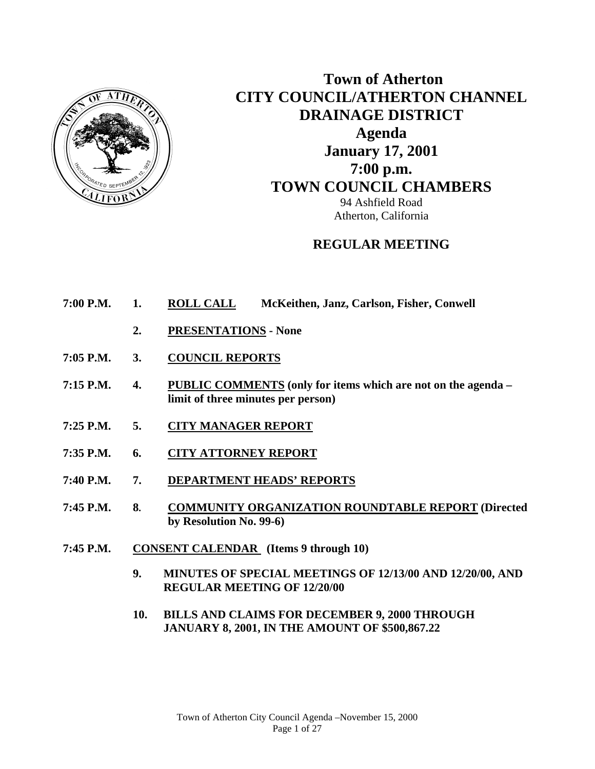

# **Town of Atherton CITY COUNCIL/ATHERTON CHANNEL DRAINAGE DISTRICT Agenda January 17, 2001 7:00 p.m. TOWN COUNCIL CHAMBERS**

94 Ashfield Road Atherton, California

# **REGULAR MEETING**

- **7:00 P.M. 1. ROLL CALL McKeithen, Janz, Carlson, Fisher, Conwell** 
	- **2. PRESENTATIONS None**
- **7:05 P.M. 3. COUNCIL REPORTS**
- **7:15 P.M. 4. PUBLIC COMMENTS (only for items which are not on the agenda limit of three minutes per person)**
- **7:25 P.M. 5. CITY MANAGER REPORT**
- **7:35 P.M. 6. CITY ATTORNEY REPORT**
- **7:40 P.M. 7. DEPARTMENT HEADS' REPORTS**
- **7:45 P.M. 8. COMMUNITY ORGANIZATION ROUNDTABLE REPORT (Directed by Resolution No. 99-6)**
- **7:45 P.M. CONSENT CALENDAR (Items 9 through 10)** 
	- **9. MINUTES OF SPECIAL MEETINGS OF 12/13/00 AND 12/20/00, AND REGULAR MEETING OF 12/20/00**
	- **10. BILLS AND CLAIMS FOR DECEMBER 9, 2000 THROUGH JANUARY 8, 2001, IN THE AMOUNT OF \$500,867.22**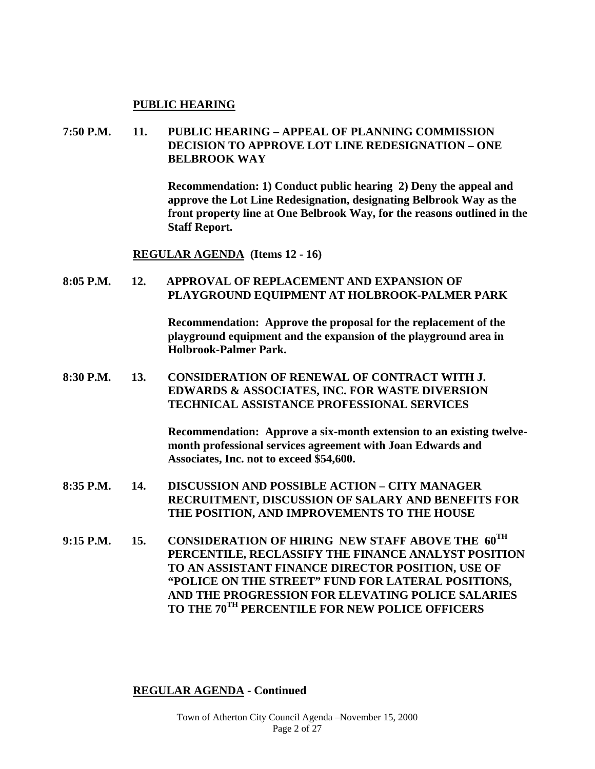#### **PUBLIC HEARING**

## **7:50 P.M. 11. PUBLIC HEARING – APPEAL OF PLANNING COMMISSION DECISION TO APPROVE LOT LINE REDESIGNATION – ONE BELBROOK WAY**

 **Recommendation: 1) Conduct public hearing 2) Deny the appeal and approve the Lot Line Redesignation, designating Belbrook Way as the front property line at One Belbrook Way, for the reasons outlined in the Staff Report.** 

 **REGULAR AGENDA (Items 12 - 16)** 

#### **8:05 P.M. 12. APPROVAL OF REPLACEMENT AND EXPANSION OF PLAYGROUND EQUIPMENT AT HOLBROOK-PALMER PARK**

 **Recommendation: Approve the proposal for the replacement of the playground equipment and the expansion of the playground area in Holbrook-Palmer Park.** 

**8:30 P.M. 13. CONSIDERATION OF RENEWAL OF CONTRACT WITH J. EDWARDS & ASSOCIATES, INC. FOR WASTE DIVERSION TECHNICAL ASSISTANCE PROFESSIONAL SERVICES** 

> **Recommendation: Approve a six-month extension to an existing twelvemonth professional services agreement with Joan Edwards and Associates, Inc. not to exceed \$54,600.**

- **8:35 P.M. 14. DISCUSSION AND POSSIBLE ACTION CITY MANAGER RECRUITMENT, DISCUSSION OF SALARY AND BENEFITS FOR THE POSITION, AND IMPROVEMENTS TO THE HOUSE**
- **9:15 P.M. 15. CONSIDERATION OF HIRING NEW STAFF ABOVE THE 60TH PERCENTILE, RECLASSIFY THE FINANCE ANALYST POSITION TO AN ASSISTANT FINANCE DIRECTOR POSITION, USE OF "POLICE ON THE STREET" FUND FOR LATERAL POSITIONS, AND THE PROGRESSION FOR ELEVATING POLICE SALARIES TO THE 70TH PERCENTILE FOR NEW POLICE OFFICERS**

#### **REGULAR AGENDA - Continued**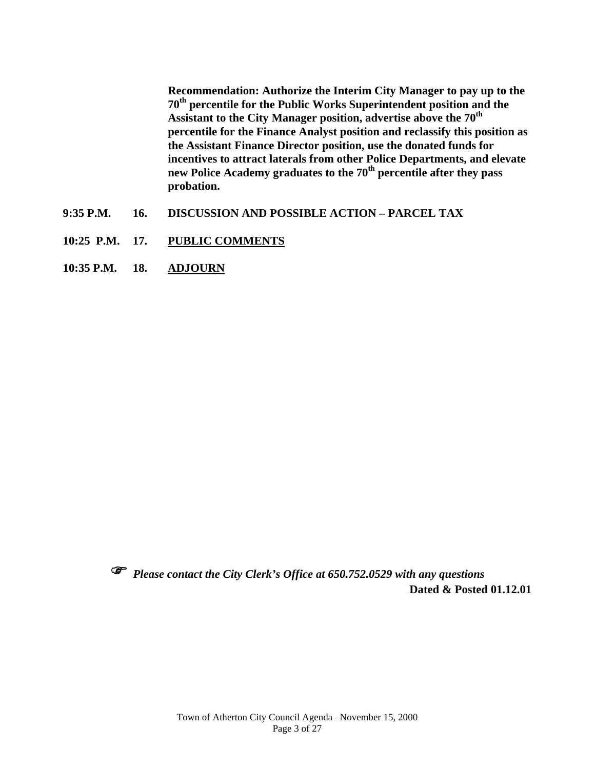**Recommendation: Authorize the Interim City Manager to pay up to the 70th percentile for the Public Works Superintendent position and the**  Assistant to the City Manager position, advertise above the 70<sup>th</sup> **percentile for the Finance Analyst position and reclassify this position as the Assistant Finance Director position, use the donated funds for incentives to attract laterals from other Police Departments, and elevate**  new Police Academy graduates to the 70<sup>th</sup> percentile after they pass **probation.** 

- **9:35 P.M. 16. DISCUSSION AND POSSIBLE ACTION PARCEL TAX**
- **10:25 P.M. 17. PUBLIC COMMENTS**
- **10:35 P.M. 18. ADJOURN**



 *Please contact the City Clerk's Office at 650.752.0529 with any questions*  **Dated & Posted 01.12.01**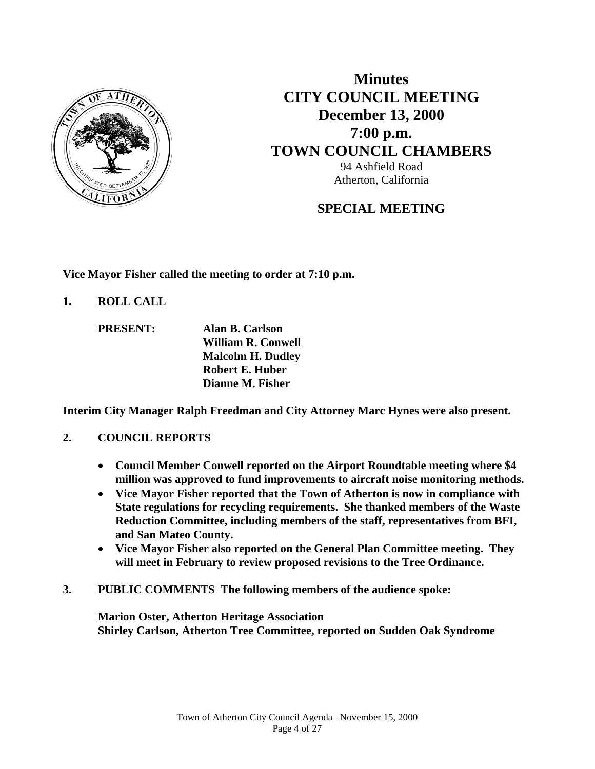

**Minutes CITY COUNCIL MEETING December 13, 2000 7:00 p.m. TOWN COUNCIL CHAMBERS** 94 Ashfield Road Atherton, California

# **SPECIAL MEETING**

**Vice Mayor Fisher called the meeting to order at 7:10 p.m.** 

**1. ROLL CALL** 

 **PRESENT: Alan B. Carlson William R. Conwell Malcolm H. Dudley Robert E. Huber Dianne M. Fisher** 

**Interim City Manager Ralph Freedman and City Attorney Marc Hynes were also present.** 

## **2. COUNCIL REPORTS**

- **Council Member Conwell reported on the Airport Roundtable meeting where \$4 million was approved to fund improvements to aircraft noise monitoring methods.**
- **Vice Mayor Fisher reported that the Town of Atherton is now in compliance with State regulations for recycling requirements. She thanked members of the Waste Reduction Committee, including members of the staff, representatives from BFI, and San Mateo County.**
- **Vice Mayor Fisher also reported on the General Plan Committee meeting. They will meet in February to review proposed revisions to the Tree Ordinance.**
- **3. PUBLIC COMMENTS The following members of the audience spoke:**

**Marion Oster, Atherton Heritage Association Shirley Carlson, Atherton Tree Committee, reported on Sudden Oak Syndrome**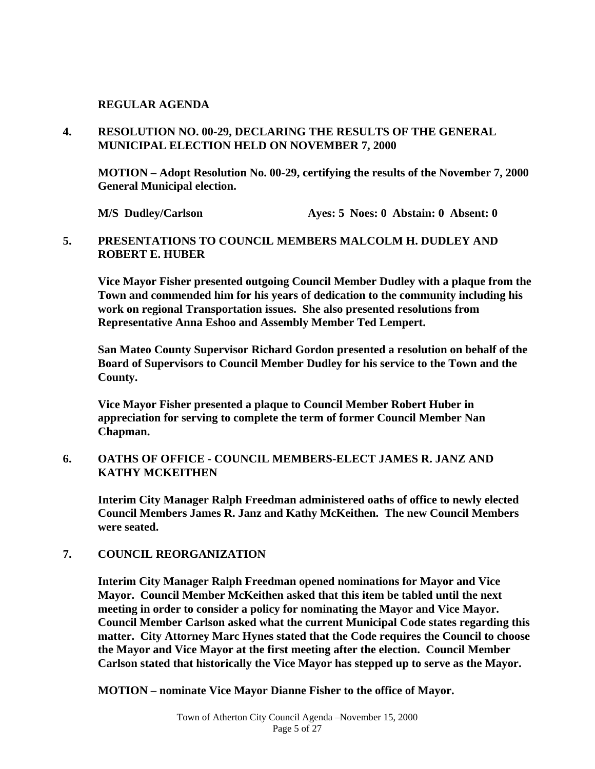#### **REGULAR AGENDA**

**4. RESOLUTION NO. 00-29, DECLARING THE RESULTS OF THE GENERAL MUNICIPAL ELECTION HELD ON NOVEMBER 7, 2000** 

 **MOTION – Adopt Resolution No. 00-29, certifying the results of the November 7, 2000 General Municipal election.** 

**M/S** Dudley/Carlson **Ayes: 5 Noes: 0 Abstain: 0 Absent: 0** 

#### **5. PRESENTATIONS TO COUNCIL MEMBERS MALCOLM H. DUDLEY AND ROBERT E. HUBER**

 **Vice Mayor Fisher presented outgoing Council Member Dudley with a plaque from the Town and commended him for his years of dedication to the community including his work on regional Transportation issues. She also presented resolutions from Representative Anna Eshoo and Assembly Member Ted Lempert.** 

 **San Mateo County Supervisor Richard Gordon presented a resolution on behalf of the Board of Supervisors to Council Member Dudley for his service to the Town and the County.** 

 **Vice Mayor Fisher presented a plaque to Council Member Robert Huber in appreciation for serving to complete the term of former Council Member Nan Chapman.** 

#### **6. OATHS OF OFFICE - COUNCIL MEMBERS-ELECT JAMES R. JANZ AND KATHY MCKEITHEN**

 **Interim City Manager Ralph Freedman administered oaths of office to newly elected Council Members James R. Janz and Kathy McKeithen. The new Council Members were seated.** 

#### **7. COUNCIL REORGANIZATION**

 **Interim City Manager Ralph Freedman opened nominations for Mayor and Vice Mayor. Council Member McKeithen asked that this item be tabled until the next meeting in order to consider a policy for nominating the Mayor and Vice Mayor. Council Member Carlson asked what the current Municipal Code states regarding this matter. City Attorney Marc Hynes stated that the Code requires the Council to choose the Mayor and Vice Mayor at the first meeting after the election. Council Member Carlson stated that historically the Vice Mayor has stepped up to serve as the Mayor.** 

 **MOTION – nominate Vice Mayor Dianne Fisher to the office of Mayor.**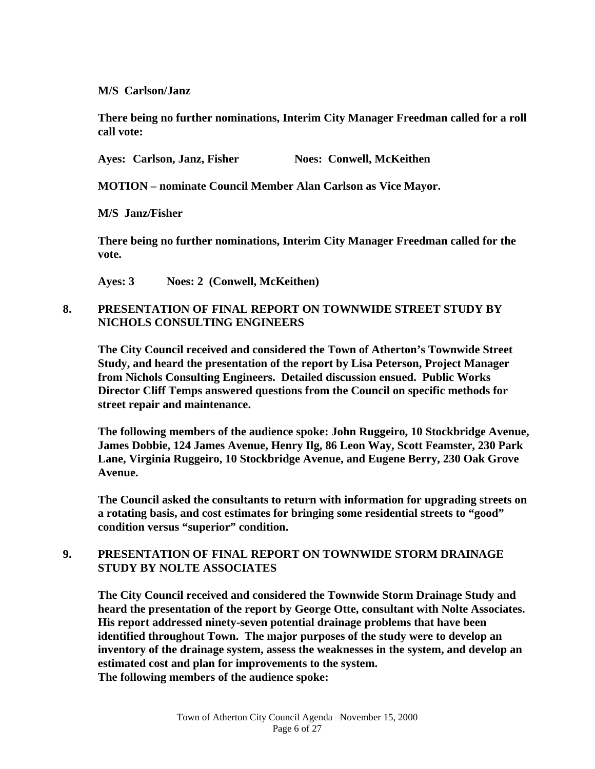#### **M/S Carlson/Janz**

 **There being no further nominations, Interim City Manager Freedman called for a roll call vote:** 

Ayes: Carlson, Janz, Fisher **Noes: Conwell, McKeithen** 

 **MOTION – nominate Council Member Alan Carlson as Vice Mayor.** 

 **M/S Janz/Fisher** 

 **There being no further nominations, Interim City Manager Freedman called for the vote.** 

 **Ayes: 3 Noes: 2 (Conwell, McKeithen)** 

#### **8. PRESENTATION OF FINAL REPORT ON TOWNWIDE STREET STUDY BY NICHOLS CONSULTING ENGINEERS**

 **The City Council received and considered the Town of Atherton's Townwide Street Study, and heard the presentation of the report by Lisa Peterson, Project Manager from Nichols Consulting Engineers. Detailed discussion ensued. Public Works Director Cliff Temps answered questions from the Council on specific methods for street repair and maintenance.** 

 **The following members of the audience spoke: John Ruggeiro, 10 Stockbridge Avenue, James Dobbie, 124 James Avenue, Henry Ilg, 86 Leon Way, Scott Feamster, 230 Park Lane, Virginia Ruggeiro, 10 Stockbridge Avenue, and Eugene Berry, 230 Oak Grove Avenue.** 

 **The Council asked the consultants to return with information for upgrading streets on a rotating basis, and cost estimates for bringing some residential streets to "good" condition versus "superior" condition.** 

## **9. PRESENTATION OF FINAL REPORT ON TOWNWIDE STORM DRAINAGE STUDY BY NOLTE ASSOCIATES**

 **The City Council received and considered the Townwide Storm Drainage Study and heard the presentation of the report by George Otte, consultant with Nolte Associates. His report addressed ninety-seven potential drainage problems that have been identified throughout Town. The major purposes of the study were to develop an inventory of the drainage system, assess the weaknesses in the system, and develop an estimated cost and plan for improvements to the system. The following members of the audience spoke:**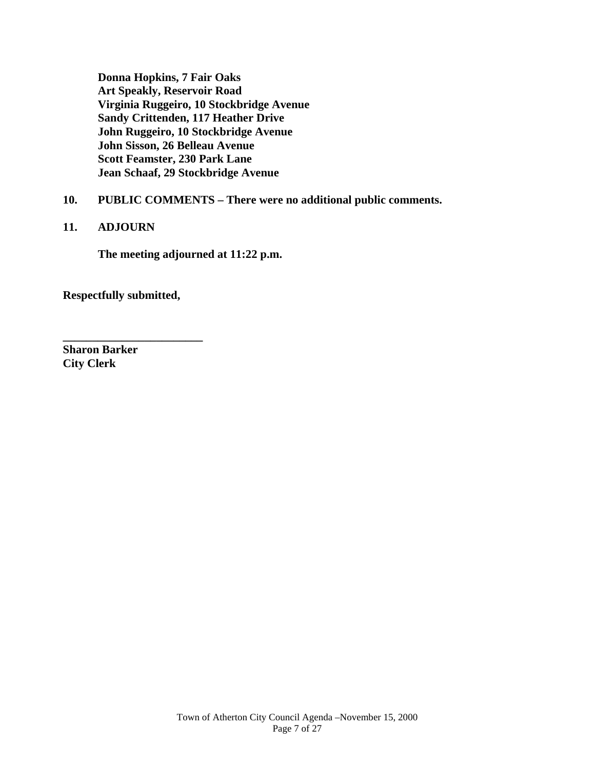**Donna Hopkins, 7 Fair Oaks Art Speakly, Reservoir Road Virginia Ruggeiro, 10 Stockbridge Avenue Sandy Crittenden, 117 Heather Drive John Ruggeiro, 10 Stockbridge Avenue John Sisson, 26 Belleau Avenue Scott Feamster, 230 Park Lane Jean Schaaf, 29 Stockbridge Avenue** 

## **10. PUBLIC COMMENTS – There were no additional public comments.**

#### **11. ADJOURN**

 **The meeting adjourned at 11:22 p.m.** 

**Respectfully submitted,** 

**\_\_\_\_\_\_\_\_\_\_\_\_\_\_\_\_\_\_\_\_\_\_\_\_** 

**Sharon Barker City Clerk**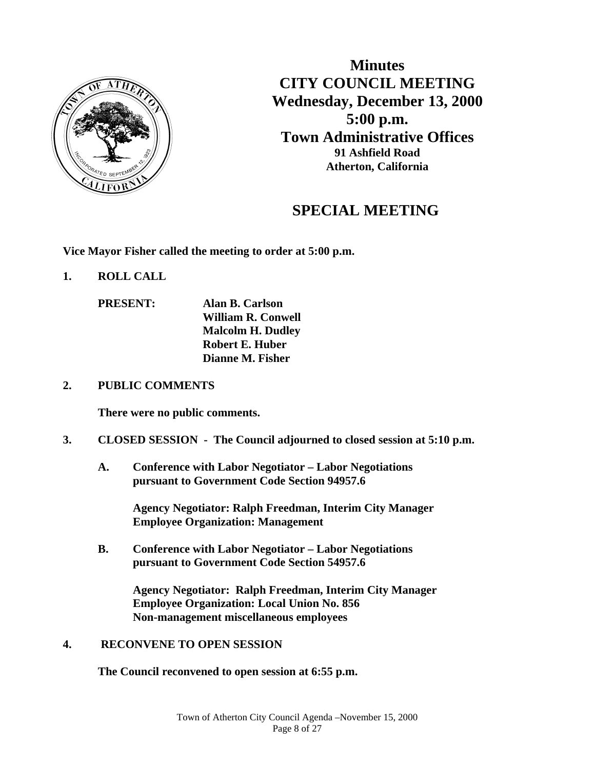

**Minutes CITY COUNCIL MEETING Wednesday, December 13, 2000 5:00 p.m. Town Administrative Offices 91 Ashfield Road Atherton, California**

# **SPECIAL MEETING**

**Vice Mayor Fisher called the meeting to order at 5:00 p.m.** 

- **1. ROLL CALL** 
	- **PRESENT: Alan B. Carlson William R. Conwell Malcolm H. Dudley Robert E. Huber Dianne M. Fisher**

#### **2. PUBLIC COMMENTS**

**There were no public comments.** 

#### **3. CLOSED SESSION - The Council adjourned to closed session at 5:10 p.m.**

 **A. Conference with Labor Negotiator – Labor Negotiations pursuant to Government Code Section 94957.6** 

> **Agency Negotiator: Ralph Freedman, Interim City Manager Employee Organization: Management**

 **B. Conference with Labor Negotiator – Labor Negotiations pursuant to Government Code Section 54957.6** 

> **Agency Negotiator: Ralph Freedman, Interim City Manager Employee Organization: Local Union No. 856 Non-management miscellaneous employees**

#### **4. RECONVENE TO OPEN SESSION**

 **The Council reconvened to open session at 6:55 p.m.**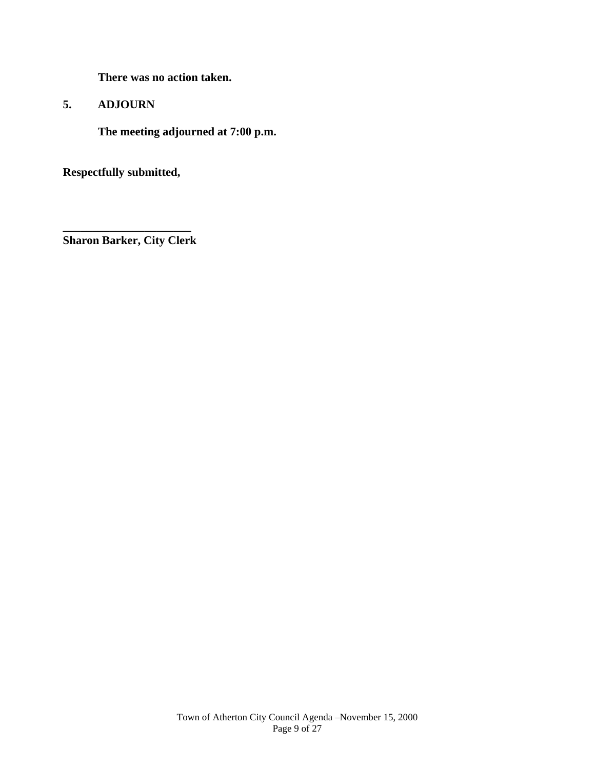**There was no action taken.** 

## **5. ADJOURN**

 **The meeting adjourned at 7:00 p.m.** 

**Respectfully submitted,** 

**\_\_\_\_\_\_\_\_\_\_\_\_\_\_\_\_\_\_\_\_\_\_ Sharon Barker, City Clerk**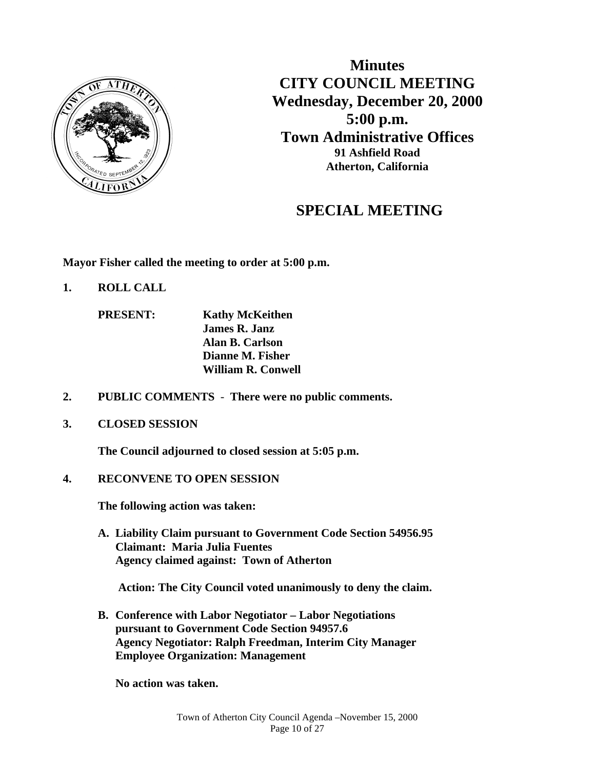

**Minutes CITY COUNCIL MEETING Wednesday, December 20, 2000 5:00 p.m. Town Administrative Offices 91 Ashfield Road Atherton, California**

# **SPECIAL MEETING**

**Mayor Fisher called the meeting to order at 5:00 p.m.** 

**1. ROLL CALL** 

 **PRESENT: Kathy McKeithen James R. Janz Alan B. Carlson Dianne M. Fisher William R. Conwell** 

- **2. PUBLIC COMMENTS There were no public comments.**
- **3. CLOSED SESSION**

 **The Council adjourned to closed session at 5:05 p.m.** 

**4. RECONVENE TO OPEN SESSION** 

**The following action was taken:** 

**A. Liability Claim pursuant to Government Code Section 54956.95 Claimant: Maria Julia Fuentes Agency claimed against: Town of Atherton** 

 **Action: The City Council voted unanimously to deny the claim.** 

**B. Conference with Labor Negotiator – Labor Negotiations pursuant to Government Code Section 94957.6 Agency Negotiator: Ralph Freedman, Interim City Manager Employee Organization: Management** 

 **No action was taken.**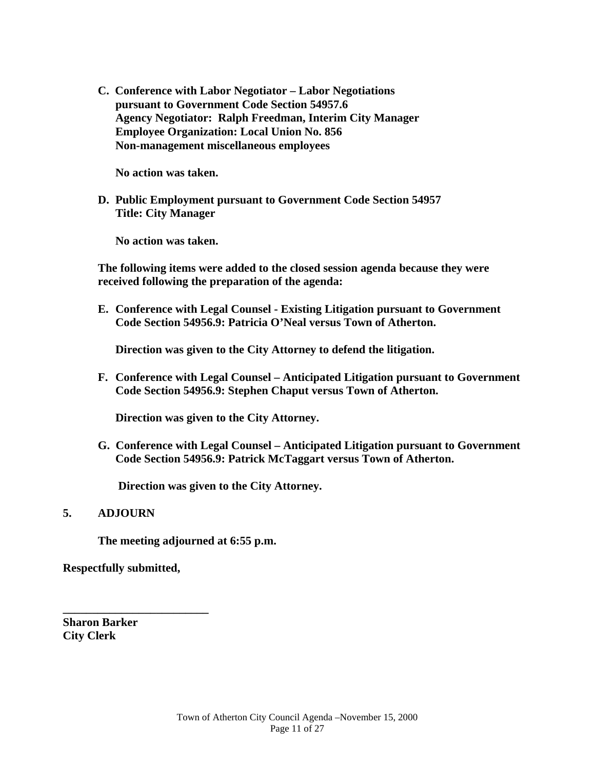**C. Conference with Labor Negotiator – Labor Negotiations pursuant to Government Code Section 54957.6 Agency Negotiator: Ralph Freedman, Interim City Manager Employee Organization: Local Union No. 856 Non-management miscellaneous employees** 

 **No action was taken.** 

**D. Public Employment pursuant to Government Code Section 54957 Title: City Manager** 

 **No action was taken.** 

**The following items were added to the closed session agenda because they were received following the preparation of the agenda:** 

**E. Conference with Legal Counsel - Existing Litigation pursuant to Government Code Section 54956.9: Patricia O'Neal versus Town of Atherton.** 

**Direction was given to the City Attorney to defend the litigation.** 

**F. Conference with Legal Counsel – Anticipated Litigation pursuant to Government Code Section 54956.9: Stephen Chaput versus Town of Atherton.** 

**Direction was given to the City Attorney.** 

**G. Conference with Legal Counsel – Anticipated Litigation pursuant to Government Code Section 54956.9: Patrick McTaggart versus Town of Atherton.** 

 **Direction was given to the City Attorney.** 

#### **5. ADJOURN**

**The meeting adjourned at 6:55 p.m.**

**Respectfully submitted,** 

**\_\_\_\_\_\_\_\_\_\_\_\_\_\_\_\_\_\_\_\_\_\_\_\_\_** 

**Sharon Barker City Clerk**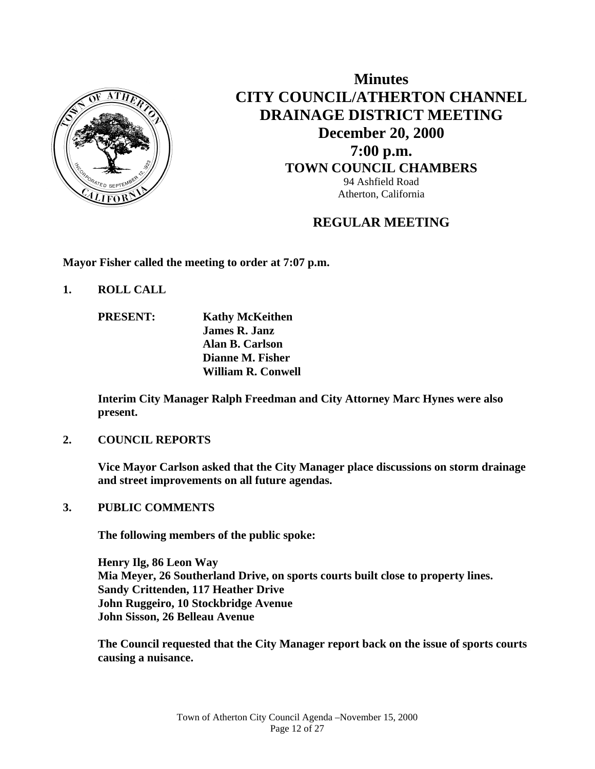

**Minutes CITY COUNCIL/ATHERTON CHANNEL DRAINAGE DISTRICT MEETING December 20, 2000 7:00 p.m. TOWN COUNCIL CHAMBERS** 94 Ashfield Road Atherton, California

# **REGULAR MEETING**

**Mayor Fisher called the meeting to order at 7:07 p.m.** 

**1. ROLL CALL** 

**PRESENT:** Kathy McKeithen  **James R. Janz Alan B. Carlson Dianne M. Fisher William R. Conwell** 

**Interim City Manager Ralph Freedman and City Attorney Marc Hynes were also present.** 

## **2. COUNCIL REPORTS**

 **Vice Mayor Carlson asked that the City Manager place discussions on storm drainage and street improvements on all future agendas.** 

## **3. PUBLIC COMMENTS**

 **The following members of the public spoke:** 

 **Henry Ilg, 86 Leon Way Mia Meyer, 26 Southerland Drive, on sports courts built close to property lines. Sandy Crittenden, 117 Heather Drive John Ruggeiro, 10 Stockbridge Avenue John Sisson, 26 Belleau Avenue** 

 **The Council requested that the City Manager report back on the issue of sports courts causing a nuisance.**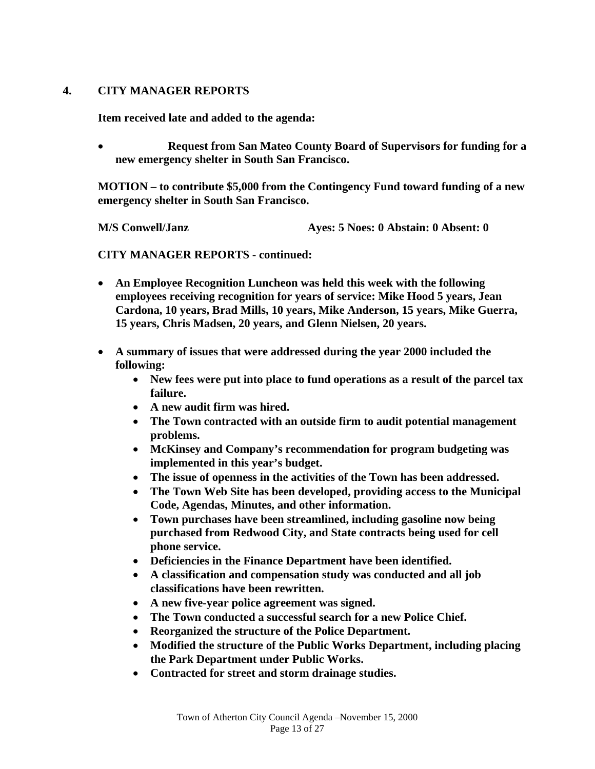## **4. CITY MANAGER REPORTS**

 **Item received late and added to the agenda:** 

 **Request from San Mateo County Board of Supervisors for funding for a new emergency shelter in South San Francisco.** 

 **MOTION – to contribute \$5,000 from the Contingency Fund toward funding of a new emergency shelter in South San Francisco.** 

 **M/S Conwell/Janz Ayes: 5 Noes: 0 Abstain: 0 Absent: 0** 

 **CITY MANAGER REPORTS - continued:** 

- **An Employee Recognition Luncheon was held this week with the following employees receiving recognition for years of service: Mike Hood 5 years, Jean Cardona, 10 years, Brad Mills, 10 years, Mike Anderson, 15 years, Mike Guerra, 15 years, Chris Madsen, 20 years, and Glenn Nielsen, 20 years.**
- **A summary of issues that were addressed during the year 2000 included the following:** 
	- **New fees were put into place to fund operations as a result of the parcel tax failure.**
	- **A new audit firm was hired.**
	- **The Town contracted with an outside firm to audit potential management problems.**
	- **McKinsey and Company's recommendation for program budgeting was implemented in this year's budget.**
	- **The issue of openness in the activities of the Town has been addressed.**
	- **The Town Web Site has been developed, providing access to the Municipal Code, Agendas, Minutes, and other information.**
	- **Town purchases have been streamlined, including gasoline now being purchased from Redwood City, and State contracts being used for cell phone service.**
	- **Deficiencies in the Finance Department have been identified.**
	- **A classification and compensation study was conducted and all job classifications have been rewritten.**
	- **A new five-year police agreement was signed.**
	- **The Town conducted a successful search for a new Police Chief.**
	- **Reorganized the structure of the Police Department.**
	- **Modified the structure of the Public Works Department, including placing the Park Department under Public Works.**
	- **Contracted for street and storm drainage studies.**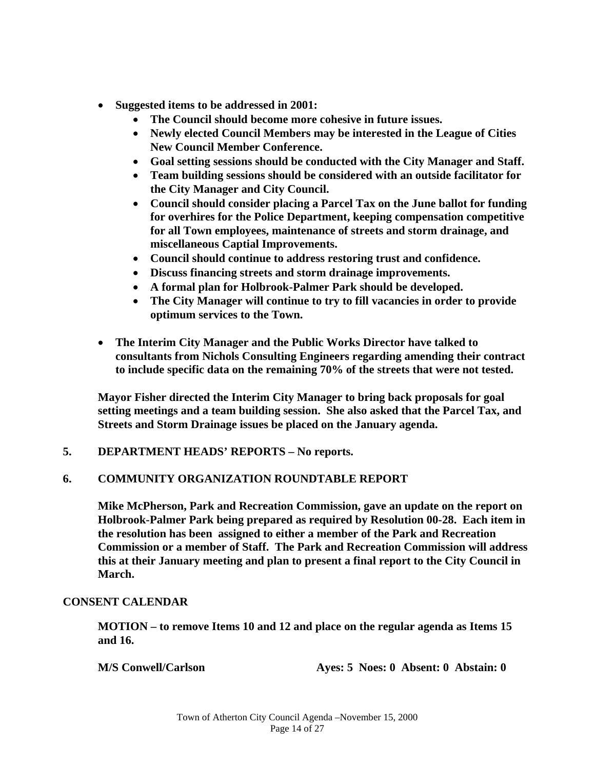- **Suggested items to be addressed in 2001:** 
	- **The Council should become more cohesive in future issues.**
	- **Newly elected Council Members may be interested in the League of Cities New Council Member Conference.**
	- **Goal setting sessions should be conducted with the City Manager and Staff.**
	- **Team building sessions should be considered with an outside facilitator for the City Manager and City Council.**
	- **Council should consider placing a Parcel Tax on the June ballot for funding for overhires for the Police Department, keeping compensation competitive for all Town employees, maintenance of streets and storm drainage, and miscellaneous Captial Improvements.**
	- **Council should continue to address restoring trust and confidence.**
	- **Discuss financing streets and storm drainage improvements.**
	- **A formal plan for Holbrook-Palmer Park should be developed.**
	- **The City Manager will continue to try to fill vacancies in order to provide optimum services to the Town.**
- **The Interim City Manager and the Public Works Director have talked to consultants from Nichols Consulting Engineers regarding amending their contract to include specific data on the remaining 70% of the streets that were not tested.**

 **Mayor Fisher directed the Interim City Manager to bring back proposals for goal setting meetings and a team building session. She also asked that the Parcel Tax, and Streets and Storm Drainage issues be placed on the January agenda.** 

**5. DEPARTMENT HEADS' REPORTS – No reports.** 

## **6. COMMUNITY ORGANIZATION ROUNDTABLE REPORT**

**Mike McPherson, Park and Recreation Commission, gave an update on the report on Holbrook-Palmer Park being prepared as required by Resolution 00-28. Each item in the resolution has been assigned to either a member of the Park and Recreation Commission or a member of Staff. The Park and Recreation Commission will address this at their January meeting and plan to present a final report to the City Council in March.** 

## **CONSENT CALENDAR**

**MOTION – to remove Items 10 and 12 and place on the regular agenda as Items 15 and 16.** 

 **M/S Conwell/Carlson Ayes: 5 Noes: 0 Absent: 0 Abstain: 0**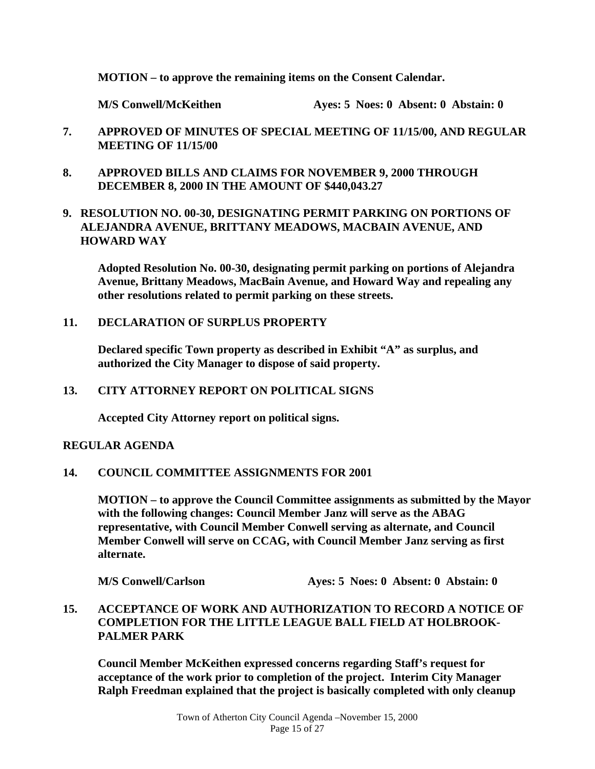#### **MOTION – to approve the remaining items on the Consent Calendar.**

**M/S Conwell/McKeithen Ayes: 5 Noes: 0 Absent: 0 Abstain: 0** 

- **7. APPROVED OF MINUTES OF SPECIAL MEETING OF 11/15/00, AND REGULAR MEETING OF 11/15/00**
- **8. APPROVED BILLS AND CLAIMS FOR NOVEMBER 9, 2000 THROUGH DECEMBER 8, 2000 IN THE AMOUNT OF \$440,043.27**

## **9. RESOLUTION NO. 00-30, DESIGNATING PERMIT PARKING ON PORTIONS OF ALEJANDRA AVENUE, BRITTANY MEADOWS, MACBAIN AVENUE, AND HOWARD WAY**

**Adopted Resolution No. 00-30, designating permit parking on portions of Alejandra Avenue, Brittany Meadows, MacBain Avenue, and Howard Way and repealing any other resolutions related to permit parking on these streets.** 

#### **11. DECLARATION OF SURPLUS PROPERTY**

**Declared specific Town property as described in Exhibit "A" as surplus, and authorized the City Manager to dispose of said property.** 

#### **13. CITY ATTORNEY REPORT ON POLITICAL SIGNS**

 **Accepted City Attorney report on political signs.** 

## **REGULAR AGENDA**

**14. COUNCIL COMMITTEE ASSIGNMENTS FOR 2001** 

 **MOTION – to approve the Council Committee assignments as submitted by the Mayor with the following changes: Council Member Janz will serve as the ABAG representative, with Council Member Conwell serving as alternate, and Council Member Conwell will serve on CCAG, with Council Member Janz serving as first alternate.** 

 **M/S Conwell/Carlson Ayes: 5 Noes: 0 Absent: 0 Abstain: 0** 

**15. ACCEPTANCE OF WORK AND AUTHORIZATION TO RECORD A NOTICE OF COMPLETION FOR THE LITTLE LEAGUE BALL FIELD AT HOLBROOK-PALMER PARK** 

**Council Member McKeithen expressed concerns regarding Staff's request for acceptance of the work prior to completion of the project. Interim City Manager Ralph Freedman explained that the project is basically completed with only cleanup**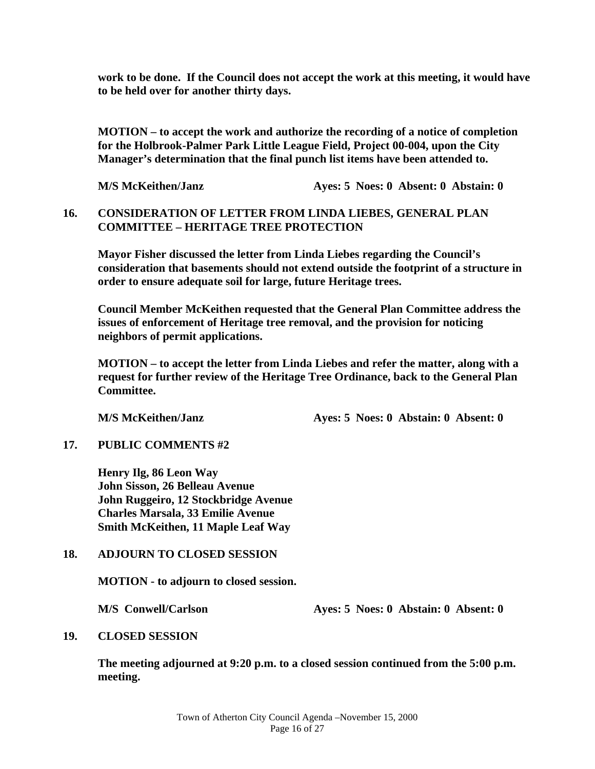**work to be done. If the Council does not accept the work at this meeting, it would have to be held over for another thirty days.** 

**MOTION – to accept the work and authorize the recording of a notice of completion for the Holbrook-Palmer Park Little League Field, Project 00-004, upon the City Manager's determination that the final punch list items have been attended to.** 

 **M/S McKeithen/Janz Ayes: 5 Noes: 0 Absent: 0 Abstain: 0** 

#### **16. CONSIDERATION OF LETTER FROM LINDA LIEBES, GENERAL PLAN COMMITTEE – HERITAGE TREE PROTECTION**

**Mayor Fisher discussed the letter from Linda Liebes regarding the Council's consideration that basements should not extend outside the footprint of a structure in order to ensure adequate soil for large, future Heritage trees.** 

**Council Member McKeithen requested that the General Plan Committee address the issues of enforcement of Heritage tree removal, and the provision for noticing neighbors of permit applications.** 

**MOTION – to accept the letter from Linda Liebes and refer the matter, along with a request for further review of the Heritage Tree Ordinance, back to the General Plan Committee.** 

**M/S McKeithen/Janz Ayes: 5 Noes: 0 Abstain: 0 Absent: 0** 

#### **17. PUBLIC COMMENTS #2**

 **Henry Ilg, 86 Leon Way John Sisson, 26 Belleau Avenue John Ruggeiro, 12 Stockbridge Avenue Charles Marsala, 33 Emilie Avenue Smith McKeithen, 11 Maple Leaf Way** 

## **18. ADJOURN TO CLOSED SESSION**

 **MOTION - to adjourn to closed session.** 

**M/S Conwell/Carlson Ayes: 5 Noes: 0 Abstain: 0 Absent: 0** 

## **19. CLOSED SESSION**

**The meeting adjourned at 9:20 p.m. to a closed session continued from the 5:00 p.m. meeting.**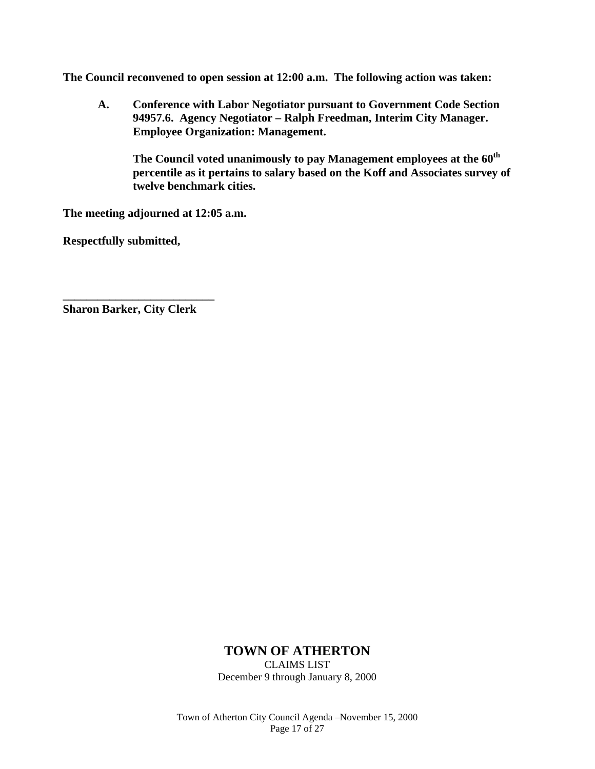**The Council reconvened to open session at 12:00 a.m. The following action was taken:** 

 **A. Conference with Labor Negotiator pursuant to Government Code Section 94957.6. Agency Negotiator – Ralph Freedman, Interim City Manager. Employee Organization: Management.** 

The Council voted unanimously to pay Management employees at the  $60^{\text{th}}$ **percentile as it pertains to salary based on the Koff and Associates survey of twelve benchmark cities.** 

**The meeting adjourned at 12:05 a.m.** 

**Respectfully submitted,** 

**Sharon Barker, City Clerk** 

**\_\_\_\_\_\_\_\_\_\_\_\_\_\_\_\_\_\_\_\_\_\_\_\_\_\_** 

## **TOWN OF ATHERTON**

CLAIMS LIST December 9 through January 8, 2000

Town of Atherton City Council Agenda –November 15, 2000 Page 17 of 27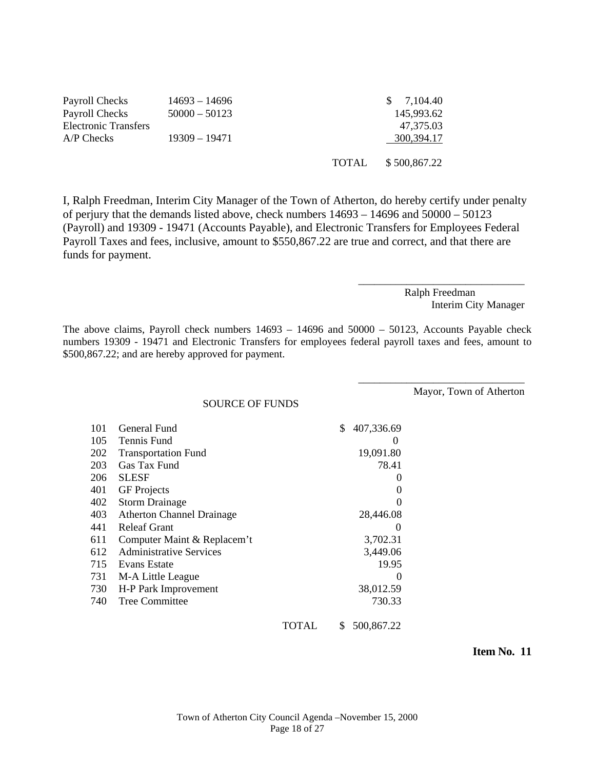| Payroll Checks       | $14693 - 14696$ |       | \$7,104.40   |
|----------------------|-----------------|-------|--------------|
| Payroll Checks       | $50000 - 50123$ |       | 145,993.62   |
| Electronic Transfers |                 |       | 47.375.03    |
| A/P Checks           | $19309 - 19471$ |       | 300,394.17   |
|                      |                 |       |              |
|                      |                 | TOTAL | \$500,867.22 |

I, Ralph Freedman, Interim City Manager of the Town of Atherton, do hereby certify under penalty of perjury that the demands listed above, check numbers 14693 – 14696 and 50000 – 50123 (Payroll) and 19309 - 19471 (Accounts Payable), and Electronic Transfers for Employees Federal Payroll Taxes and fees, inclusive, amount to \$550,867.22 are true and correct, and that there are funds for payment.

> Ralph Freedman Interim City Manager

\_\_\_\_\_\_\_\_\_\_\_\_\_\_\_\_\_\_\_\_\_\_\_\_\_\_\_\_\_\_\_

\_\_\_\_\_\_\_\_\_\_\_\_\_\_\_\_\_\_\_\_\_\_\_\_\_\_\_\_\_\_\_

The above claims, Payroll check numbers 14693 – 14696 and 50000 – 50123, Accounts Payable check numbers 19309 - 19471 and Electronic Transfers for employees federal payroll taxes and fees, amount to \$500,867.22; and are hereby approved for payment.

Mayor, Town of Atherton

| <b>SOURCE OF FUNDS</b> |  |
|------------------------|--|
|------------------------|--|

| 101 | General Fund                     |       | \$ | 407,336.69 |
|-----|----------------------------------|-------|----|------------|
| 105 | Tennis Fund                      |       |    | $\theta$   |
| 202 | <b>Transportation Fund</b>       |       |    | 19,091.80  |
| 203 | Gas Tax Fund                     |       |    | 78.41      |
| 206 | <b>SLESF</b>                     |       |    | $_{0}$     |
| 401 | <b>GF</b> Projects               |       |    | $\Omega$   |
| 402 | <b>Storm Drainage</b>            |       |    |            |
| 403 | <b>Atherton Channel Drainage</b> |       |    | 28,446.08  |
| 441 | Releaf Grant                     |       |    | $\theta$   |
| 611 | Computer Maint & Replacem't      |       |    | 3,702.31   |
| 612 | <b>Administrative Services</b>   |       |    | 3,449.06   |
| 715 | Evans Estate                     |       |    | 19.95      |
| 731 | M-A Little League                |       |    | $\theta$   |
| 730 | H-P Park Improvement             |       |    | 38,012.59  |
| 740 | <b>Tree Committee</b>            |       |    | 730.33     |
|     |                                  | TOTAL | S  | 500,867.22 |

**Item No. 11**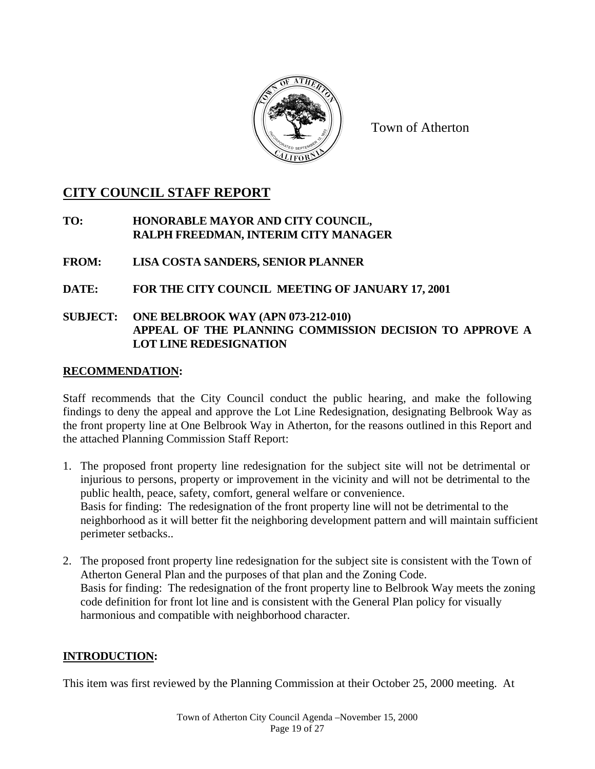

Town of Atherton

# **CITY COUNCIL STAFF REPORT**

## **TO: HONORABLE MAYOR AND CITY COUNCIL, RALPH FREEDMAN, INTERIM CITY MANAGER**

## **FROM: LISA COSTA SANDERS, SENIOR PLANNER**

# **DATE: FOR THE CITY COUNCIL MEETING OF JANUARY 17, 2001**

## **SUBJECT: ONE BELBROOK WAY (APN 073-212-010) APPEAL OF THE PLANNING COMMISSION DECISION TO APPROVE A LOT LINE REDESIGNATION**

#### **RECOMMENDATION:**

Staff recommends that the City Council conduct the public hearing, and make the following findings to deny the appeal and approve the Lot Line Redesignation, designating Belbrook Way as the front property line at One Belbrook Way in Atherton, for the reasons outlined in this Report and the attached Planning Commission Staff Report:

- 1. The proposed front property line redesignation for the subject site will not be detrimental or injurious to persons, property or improvement in the vicinity and will not be detrimental to the public health, peace, safety, comfort, general welfare or convenience. Basis for finding: The redesignation of the front property line will not be detrimental to the neighborhood as it will better fit the neighboring development pattern and will maintain sufficient perimeter setbacks..
- 2. The proposed front property line redesignation for the subject site is consistent with the Town of Atherton General Plan and the purposes of that plan and the Zoning Code. Basis for finding: The redesignation of the front property line to Belbrook Way meets the zoning code definition for front lot line and is consistent with the General Plan policy for visually harmonious and compatible with neighborhood character.

## **INTRODUCTION:**

This item was first reviewed by the Planning Commission at their October 25, 2000 meeting. At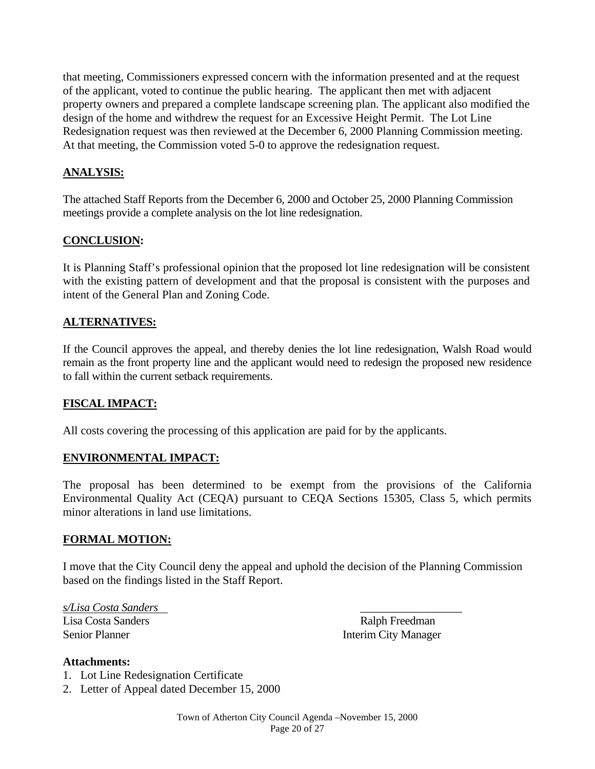that meeting, Commissioners expressed concern with the information presented and at the request of the applicant, voted to continue the public hearing. The applicant then met with adjacent property owners and prepared a complete landscape screening plan. The applicant also modified the design of the home and withdrew the request for an Excessive Height Permit. The Lot Line Redesignation request was then reviewed at the December 6, 2000 Planning Commission meeting. At that meeting, the Commission voted 5-0 to approve the redesignation request.

## **ANALYSIS:**

The attached Staff Reports from the December 6, 2000 and October 25, 2000 Planning Commission meetings provide a complete analysis on the lot line redesignation.

## **CONCLUSION:**

It is Planning Staff's professional opinion that the proposed lot line redesignation will be consistent with the existing pattern of development and that the proposal is consistent with the purposes and intent of the General Plan and Zoning Code.

## **ALTERNATIVES:**

If the Council approves the appeal, and thereby denies the lot line redesignation, Walsh Road would remain as the front property line and the applicant would need to redesign the proposed new residence to fall within the current setback requirements.

## **FISCAL IMPACT:**

All costs covering the processing of this application are paid for by the applicants.

## **ENVIRONMENTAL IMPACT:**

The proposal has been determined to be exempt from the provisions of the California Environmental Quality Act (CEQA) pursuant to CEQA Sections 15305, Class 5, which permits minor alterations in land use limitations.

## **FORMAL MOTION:**

I move that the City Council deny the appeal and uphold the decision of the Planning Commission based on the findings listed in the Staff Report.

*s/Lisa Costa Sanders* \_\_\_\_\_\_\_\_\_\_\_\_\_\_\_\_\_\_ Lisa Costa Sanders **Ralph Freedman** Senior Planner Interim City Manager

#### **Attachments:**

- 1. Lot Line Redesignation Certificate
- 2. Letter of Appeal dated December 15, 2000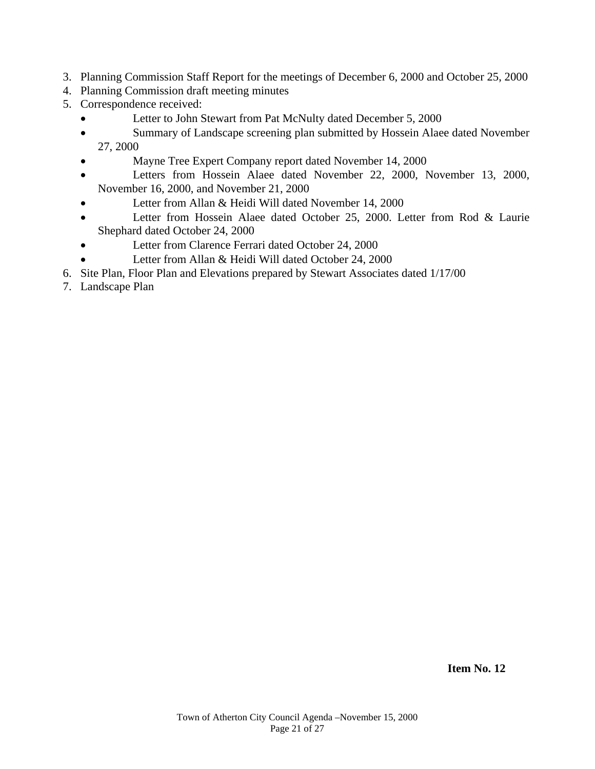- 3. Planning Commission Staff Report for the meetings of December 6, 2000 and October 25, 2000
- 4. Planning Commission draft meeting minutes
- 5. Correspondence received:
	- Letter to John Stewart from Pat McNulty dated December 5, 2000
	- Summary of Landscape screening plan submitted by Hossein Alaee dated November 27, 2000
	- Mayne Tree Expert Company report dated November 14, 2000
	- Letters from Hossein Alaee dated November 22, 2000, November 13, 2000, November 16, 2000, and November 21, 2000
	- Letter from Allan & Heidi Will dated November 14, 2000
	- Letter from Hossein Alaee dated October 25, 2000. Letter from Rod & Laurie Shephard dated October 24, 2000
	- Letter from Clarence Ferrari dated October 24, 2000
	- Letter from Allan & Heidi Will dated October 24, 2000
- 6. Site Plan, Floor Plan and Elevations prepared by Stewart Associates dated 1/17/00
- 7. Landscape Plan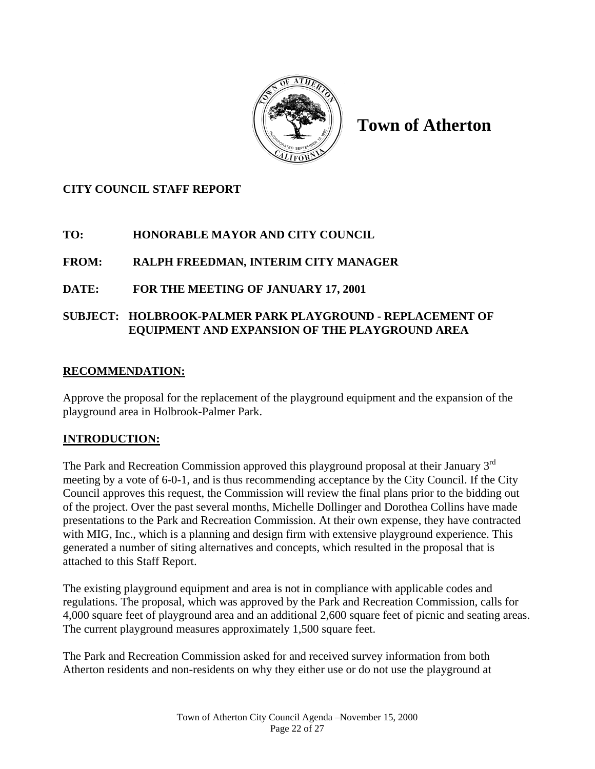

**Town of Atherton** 

# **CITY COUNCIL STAFF REPORT**

# **TO: HONORABLE MAYOR AND CITY COUNCIL**

# **FROM: RALPH FREEDMAN, INTERIM CITY MANAGER**

# **DATE: FOR THE MEETING OF JANUARY 17, 2001**

# **SUBJECT: HOLBROOK-PALMER PARK PLAYGROUND - REPLACEMENT OF EQUIPMENT AND EXPANSION OF THE PLAYGROUND AREA**

## **RECOMMENDATION:**

Approve the proposal for the replacement of the playground equipment and the expansion of the playground area in Holbrook-Palmer Park.

# **INTRODUCTION:**

The Park and Recreation Commission approved this playground proposal at their January 3<sup>rd</sup> meeting by a vote of 6-0-1, and is thus recommending acceptance by the City Council. If the City Council approves this request, the Commission will review the final plans prior to the bidding out of the project. Over the past several months, Michelle Dollinger and Dorothea Collins have made presentations to the Park and Recreation Commission. At their own expense, they have contracted with MIG, Inc., which is a planning and design firm with extensive playground experience. This generated a number of siting alternatives and concepts, which resulted in the proposal that is attached to this Staff Report.

The existing playground equipment and area is not in compliance with applicable codes and regulations. The proposal, which was approved by the Park and Recreation Commission, calls for 4,000 square feet of playground area and an additional 2,600 square feet of picnic and seating areas. The current playground measures approximately 1,500 square feet.

The Park and Recreation Commission asked for and received survey information from both Atherton residents and non-residents on why they either use or do not use the playground at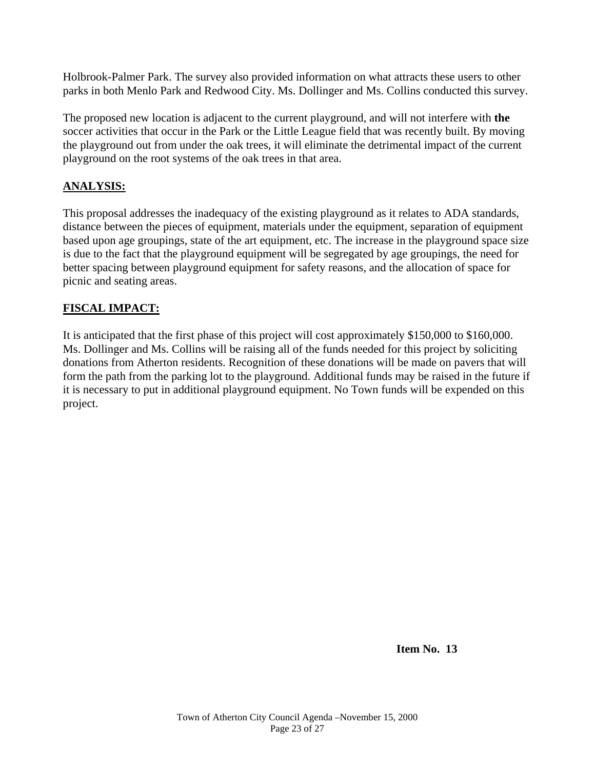Holbrook-Palmer Park. The survey also provided information on what attracts these users to other parks in both Menlo Park and Redwood City. Ms. Dollinger and Ms. Collins conducted this survey.

The proposed new location is adjacent to the current playground, and will not interfere with **the**  soccer activities that occur in the Park or the Little League field that was recently built. By moving the playground out from under the oak trees, it will eliminate the detrimental impact of the current playground on the root systems of the oak trees in that area.

# **ANALYSIS:**

This proposal addresses the inadequacy of the existing playground as it relates to ADA standards, distance between the pieces of equipment, materials under the equipment, separation of equipment based upon age groupings, state of the art equipment, etc. The increase in the playground space size is due to the fact that the playground equipment will be segregated by age groupings, the need for better spacing between playground equipment for safety reasons, and the allocation of space for picnic and seating areas.

## **FISCAL IMPACT:**

It is anticipated that the first phase of this project will cost approximately \$150,000 to \$160,000. Ms. Dollinger and Ms. Collins will be raising all of the funds needed for this project by soliciting donations from Atherton residents. Recognition of these donations will be made on pavers that will form the path from the parking lot to the playground. Additional funds may be raised in the future if it is necessary to put in additional playground equipment. No Town funds will be expended on this project.

 **Item No. 13**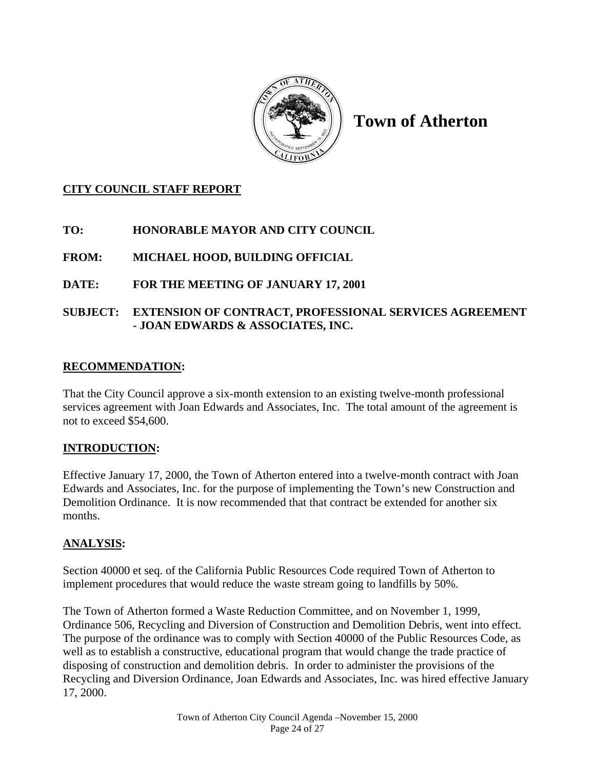

# **Town of Atherton**

# **CITY COUNCIL STAFF REPORT**

# **TO: HONORABLE MAYOR AND CITY COUNCIL**

# **FROM: MICHAEL HOOD, BUILDING OFFICIAL**

# **DATE: FOR THE MEETING OF JANUARY 17, 2001**

# **SUBJECT: EXTENSION OF CONTRACT, PROFESSIONAL SERVICES AGREEMENT - JOAN EDWARDS & ASSOCIATES, INC.**

# **RECOMMENDATION:**

That the City Council approve a six-month extension to an existing twelve-month professional services agreement with Joan Edwards and Associates, Inc. The total amount of the agreement is not to exceed \$54,600.

# **INTRODUCTION:**

Effective January 17, 2000, the Town of Atherton entered into a twelve-month contract with Joan Edwards and Associates, Inc. for the purpose of implementing the Town's new Construction and Demolition Ordinance. It is now recommended that that contract be extended for another six months.

# **ANALYSIS:**

Section 40000 et seq. of the California Public Resources Code required Town of Atherton to implement procedures that would reduce the waste stream going to landfills by 50%.

The Town of Atherton formed a Waste Reduction Committee, and on November 1, 1999, Ordinance 506, Recycling and Diversion of Construction and Demolition Debris, went into effect. The purpose of the ordinance was to comply with Section 40000 of the Public Resources Code, as well as to establish a constructive, educational program that would change the trade practice of disposing of construction and demolition debris. In order to administer the provisions of the Recycling and Diversion Ordinance, Joan Edwards and Associates, Inc. was hired effective January 17, 2000.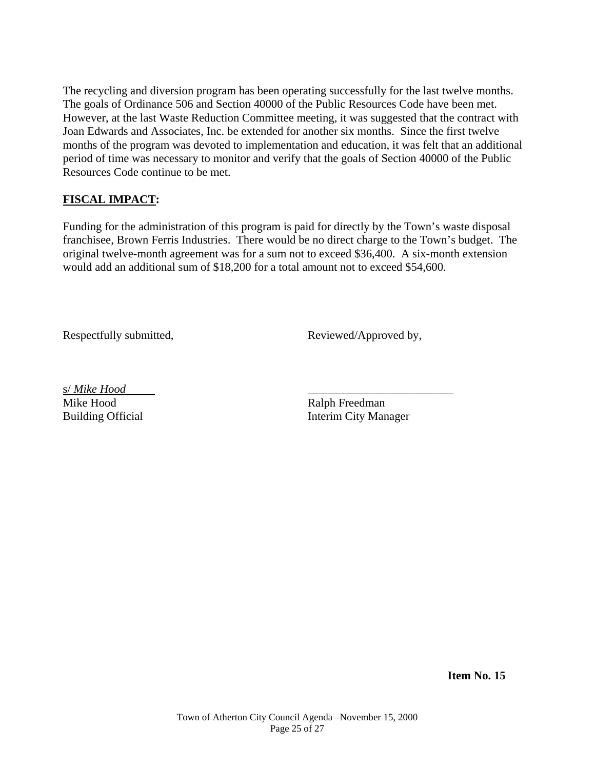The recycling and diversion program has been operating successfully for the last twelve months. The goals of Ordinance 506 and Section 40000 of the Public Resources Code have been met. However, at the last Waste Reduction Committee meeting, it was suggested that the contract with Joan Edwards and Associates, Inc. be extended for another six months. Since the first twelve months of the program was devoted to implementation and education, it was felt that an additional period of time was necessary to monitor and verify that the goals of Section 40000 of the Public Resources Code continue to be met.

## **FISCAL IMPACT:**

Funding for the administration of this program is paid for directly by the Town's waste disposal franchisee, Brown Ferris Industries. There would be no direct charge to the Town's budget. The original twelve-month agreement was for a sum not to exceed \$36,400. A six-month extension would add an additional sum of \$18,200 for a total amount not to exceed \$54,600.

Respectfully submitted, Reviewed/Approved by,

s/ *Mike Hood* \_\_\_\_\_\_\_\_\_\_\_\_\_\_\_\_\_\_\_\_\_\_\_\_\_ Mike Hood Ralph Freedman

Building Official **Interim City Manager** 

 **Item No. 15**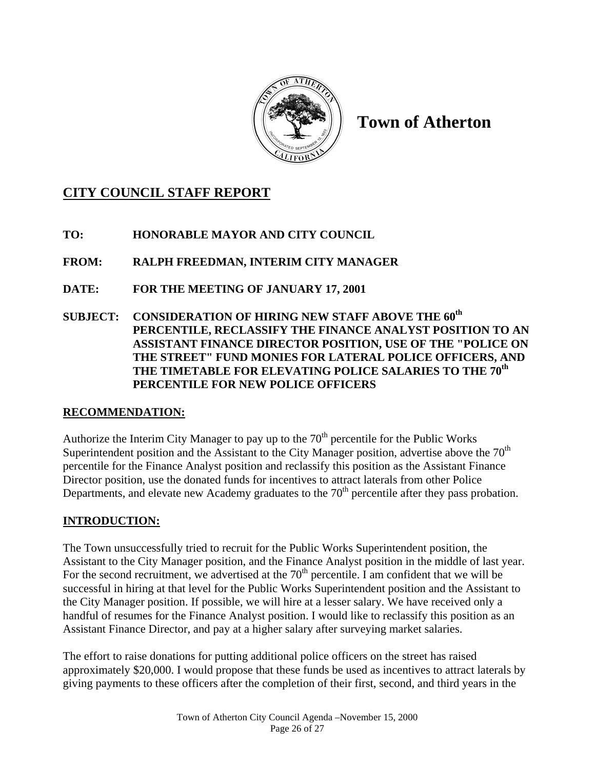

**Town of Atherton** 

# **CITY COUNCIL STAFF REPORT**

**TO: HONORABLE MAYOR AND CITY COUNCIL** 

**FROM: RALPH FREEDMAN, INTERIM CITY MANAGER** 

**DATE: FOR THE MEETING OF JANUARY 17, 2001** 

**SUBJECT: CONSIDERATION OF HIRING NEW STAFF ABOVE THE 60th PERCENTILE, RECLASSIFY THE FINANCE ANALYST POSITION TO AN ASSISTANT FINANCE DIRECTOR POSITION, USE OF THE "POLICE ON THE STREET" FUND MONIES FOR LATERAL POLICE OFFICERS, AND THE TIMETABLE FOR ELEVATING POLICE SALARIES TO THE 70th PERCENTILE FOR NEW POLICE OFFICERS** 

# **RECOMMENDATION:**

Authorize the Interim City Manager to pay up to the  $70<sup>th</sup>$  percentile for the Public Works Superintendent position and the Assistant to the City Manager position, advertise above the  $70<sup>th</sup>$ percentile for the Finance Analyst position and reclassify this position as the Assistant Finance Director position, use the donated funds for incentives to attract laterals from other Police Departments, and elevate new Academy graduates to the  $70<sup>th</sup>$  percentile after they pass probation.

# **INTRODUCTION:**

The Town unsuccessfully tried to recruit for the Public Works Superintendent position, the Assistant to the City Manager position, and the Finance Analyst position in the middle of last year. For the second recruitment, we advertised at the  $70<sup>th</sup>$  percentile. I am confident that we will be successful in hiring at that level for the Public Works Superintendent position and the Assistant to the City Manager position. If possible, we will hire at a lesser salary. We have received only a handful of resumes for the Finance Analyst position. I would like to reclassify this position as an Assistant Finance Director, and pay at a higher salary after surveying market salaries.

The effort to raise donations for putting additional police officers on the street has raised approximately \$20,000. I would propose that these funds be used as incentives to attract laterals by giving payments to these officers after the completion of their first, second, and third years in the